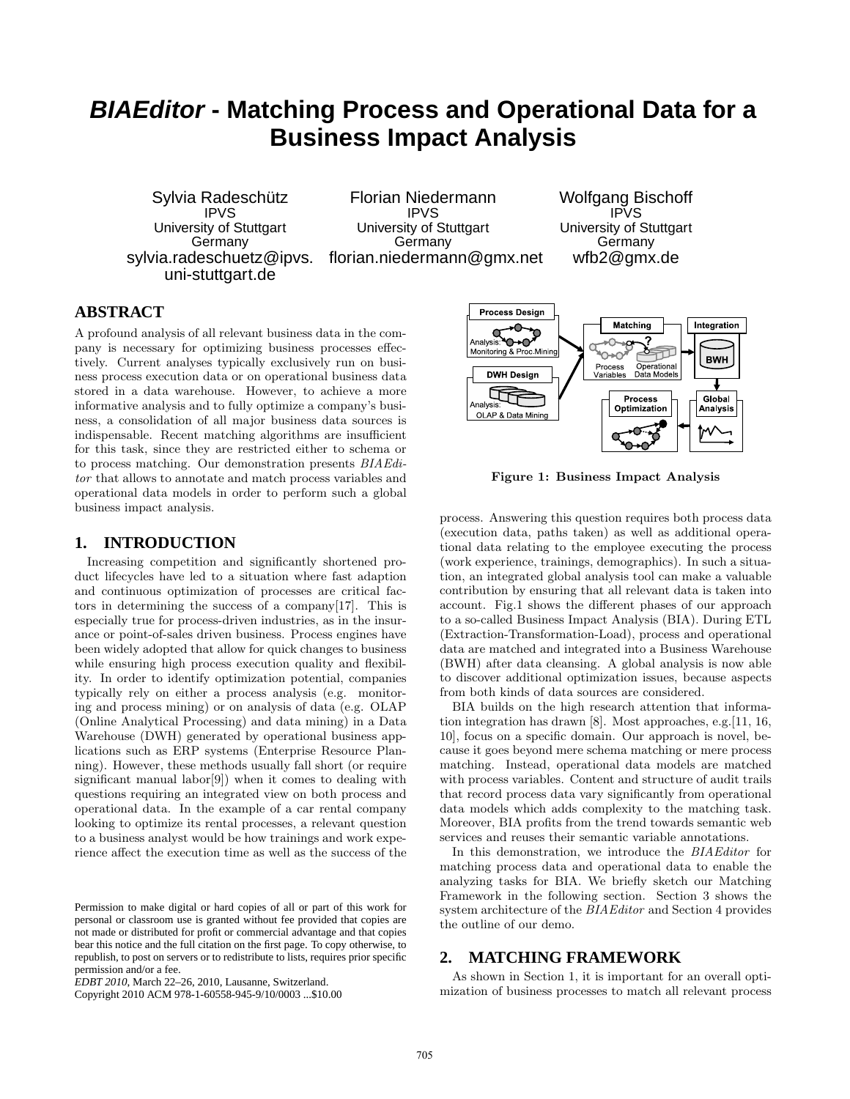# **BIAEditor - Matching Process and Operational Data for a Business Impact Analysis**

Sylvia Radeschütz IPVS University of Stuttgart Germany sylvia.radeschuetz@ipvs. uni-stuttgart.de

Florian Niedermann IPVS University of Stuttgart Germany florian.niedermann@gmx.net Wolfgang Bischoff IPVS University of Stuttgart Germany wfb2@gmx.de

# **ABSTRACT**

A profound analysis of all relevant business data in the company is necessary for optimizing business processes effectively. Current analyses typically exclusively run on business process execution data or on operational business data stored in a data warehouse. However, to achieve a more informative analysis and to fully optimize a company's business, a consolidation of all major business data sources is indispensable. Recent matching algorithms are insufficient for this task, since they are restricted either to schema or to process matching. Our demonstration presents BIAEditor that allows to annotate and match process variables and operational data models in order to perform such a global business impact analysis.

## **1. INTRODUCTION**

Increasing competition and significantly shortened product lifecycles have led to a situation where fast adaption and continuous optimization of processes are critical factors in determining the success of a company[17]. This is especially true for process-driven industries, as in the insurance or point-of-sales driven business. Process engines have been widely adopted that allow for quick changes to business while ensuring high process execution quality and flexibility. In order to identify optimization potential, companies typically rely on either a process analysis (e.g. monitoring and process mining) or on analysis of data (e.g. OLAP (Online Analytical Processing) and data mining) in a Data Warehouse (DWH) generated by operational business applications such as ERP systems (Enterprise Resource Planning). However, these methods usually fall short (or require significant manual labor[9]) when it comes to dealing with questions requiring an integrated view on both process and operational data. In the example of a car rental company looking to optimize its rental processes, a relevant question to a business analyst would be how trainings and work experience affect the execution time as well as the success of the

Copyright 2010 ACM 978-1-60558-945-9/10/0003 ...\$10.00



Figure 1: Business Impact Analysis

process. Answering this question requires both process data (execution data, paths taken) as well as additional operational data relating to the employee executing the process (work experience, trainings, demographics). In such a situation, an integrated global analysis tool can make a valuable contribution by ensuring that all relevant data is taken into account. Fig.1 shows the different phases of our approach to a so-called Business Impact Analysis (BIA). During ETL (Extraction-Transformation-Load), process and operational data are matched and integrated into a Business Warehouse (BWH) after data cleansing. A global analysis is now able to discover additional optimization issues, because aspects from both kinds of data sources are considered.

BIA builds on the high research attention that information integration has drawn [8]. Most approaches, e.g.[11, 16, 10], focus on a specific domain. Our approach is novel, because it goes beyond mere schema matching or mere process matching. Instead, operational data models are matched with process variables. Content and structure of audit trails that record process data vary significantly from operational data models which adds complexity to the matching task. Moreover, BIA profits from the trend towards semantic web services and reuses their semantic variable annotations.

In this demonstration, we introduce the BIAEditor for matching process data and operational data to enable the analyzing tasks for BIA. We briefly sketch our Matching Framework in the following section. Section 3 shows the system architecture of the BIAEditor and Section 4 provides the outline of our demo.

## **2. MATCHING FRAMEWORK**

As shown in Section 1, it is important for an overall optimization of business processes to match all relevant process

Permission to make digital or hard copies of all or part of this work for personal or classroom use is granted without fee provided that copies are not made or distributed for profit or commercial advantage and that copies bear this notice and the full citation on the first page. To copy otherwise, to republish, to post on servers or to redistribute to lists, requires prior specific permission and/or a fee.

*EDBT 2010*, March 22–26, 2010, Lausanne, Switzerland.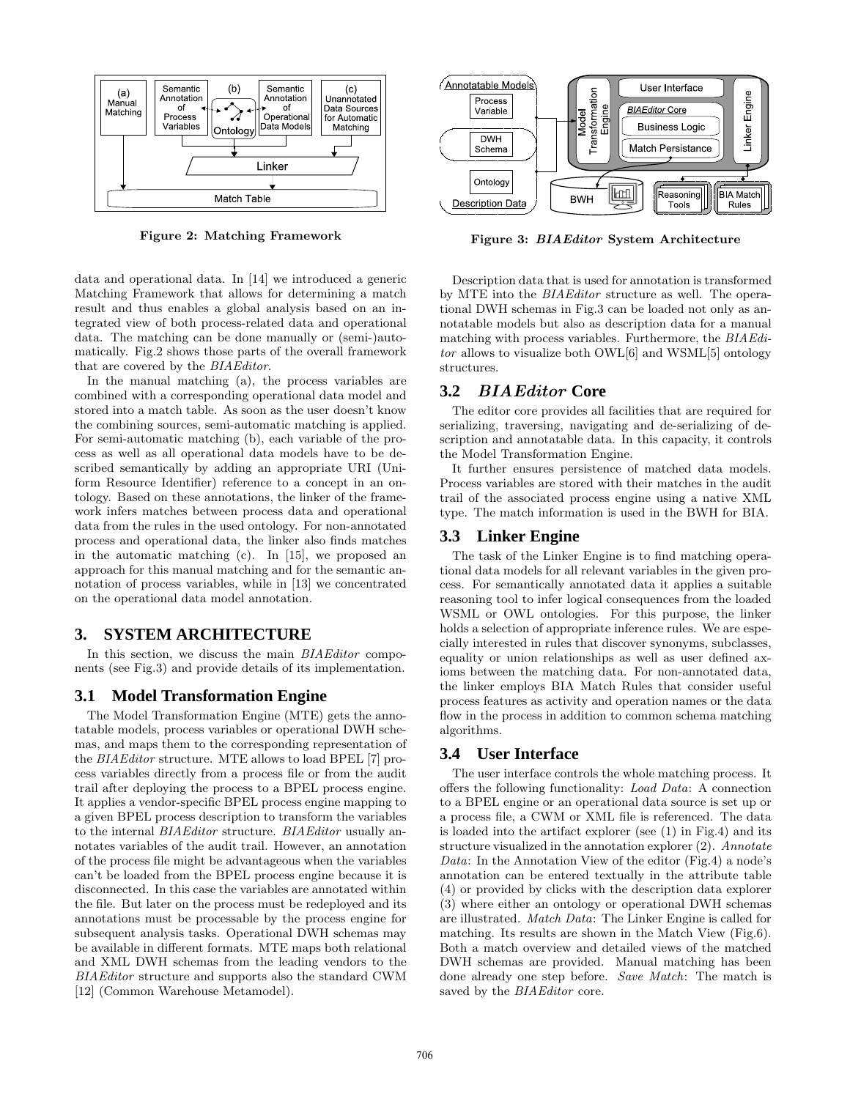

Figure 2: Matching Framework

data and operational data. In [14] we introduced a generic Matching Framework that allows for determining a match result and thus enables a global analysis based on an integrated view of both process-related data and operational data. The matching can be done manually or (semi-)automatically. Fig.2 shows those parts of the overall framework that are covered by the BIAEditor.

In the manual matching (a), the process variables are combined with a corresponding operational data model and stored into a match table. As soon as the user doesn't know the combining sources, semi-automatic matching is applied. For semi-automatic matching (b), each variable of the process as well as all operational data models have to be described semantically by adding an appropriate URI (Uniform Resource Identifier) reference to a concept in an ontology. Based on these annotations, the linker of the framework infers matches between process data and operational data from the rules in the used ontology. For non-annotated process and operational data, the linker also finds matches in the automatic matching (c). In [15], we proposed an approach for this manual matching and for the semantic annotation of process variables, while in [13] we concentrated on the operational data model annotation.

#### **3. SYSTEM ARCHITECTURE**

In this section, we discuss the main *BIAEditor* components (see Fig.3) and provide details of its implementation.

## **3.1 Model Transformation Engine**

The Model Transformation Engine (MTE) gets the annotatable models, process variables or operational DWH schemas, and maps them to the corresponding representation of the BIAEditor structure. MTE allows to load BPEL [7] process variables directly from a process file or from the audit trail after deploying the process to a BPEL process engine. It applies a vendor-specific BPEL process engine mapping to a given BPEL process description to transform the variables to the internal BIAEditor structure. BIAEditor usually annotates variables of the audit trail. However, an annotation of the process file might be advantageous when the variables can't be loaded from the BPEL process engine because it is disconnected. In this case the variables are annotated within the file. But later on the process must be redeployed and its annotations must be processable by the process engine for subsequent analysis tasks. Operational DWH schemas may be available in different formats. MTE maps both relational and XML DWH schemas from the leading vendors to the BIAEditor structure and supports also the standard CWM [12] (Common Warehouse Metamodel).



Figure 3: BIAEditor System Architecture

Description data that is used for annotation is transformed by MTE into the BIAEditor structure as well. The operational DWH schemas in Fig.3 can be loaded not only as annotatable models but also as description data for a manual matching with process variables. Furthermore, the BIAEditor allows to visualize both OWL[6] and WSML[5] ontology structures.

#### **3.2** BIAEditor **Core**

The editor core provides all facilities that are required for serializing, traversing, navigating and de-serializing of description and annotatable data. In this capacity, it controls the Model Transformation Engine.

It further ensures persistence of matched data models. Process variables are stored with their matches in the audit trail of the associated process engine using a native XML type. The match information is used in the BWH for BIA.

#### **3.3 Linker Engine**

The task of the Linker Engine is to find matching operational data models for all relevant variables in the given process. For semantically annotated data it applies a suitable reasoning tool to infer logical consequences from the loaded WSML or OWL ontologies. For this purpose, the linker holds a selection of appropriate inference rules. We are especially interested in rules that discover synonyms, subclasses, equality or union relationships as well as user defined axioms between the matching data. For non-annotated data, the linker employs BIA Match Rules that consider useful process features as activity and operation names or the data flow in the process in addition to common schema matching algorithms.

#### **3.4 User Interface**

The user interface controls the whole matching process. It offers the following functionality: Load Data: A connection to a BPEL engine or an operational data source is set up or a process file, a CWM or XML file is referenced. The data is loaded into the artifact explorer (see (1) in Fig.4) and its structure visualized in the annotation explorer (2). Annotate Data: In the Annotation View of the editor (Fig.4) a node's annotation can be entered textually in the attribute table (4) or provided by clicks with the description data explorer (3) where either an ontology or operational DWH schemas are illustrated. Match Data: The Linker Engine is called for matching. Its results are shown in the Match View (Fig.6). Both a match overview and detailed views of the matched DWH schemas are provided. Manual matching has been done already one step before. Save Match: The match is saved by the **BIAEditor** core.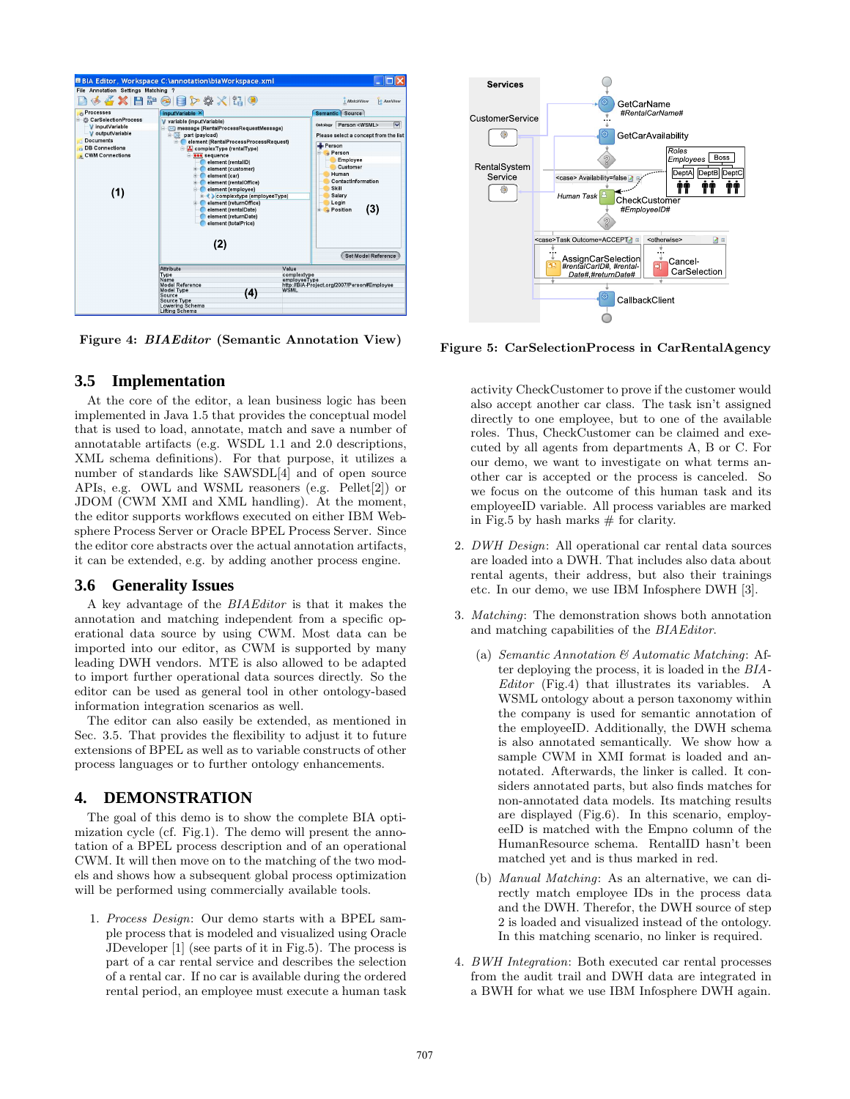

Figure 4: BIAEditor (Semantic Annotation View)

## **3.5 Implementation**

At the core of the editor, a lean business logic has been implemented in Java 1.5 that provides the conceptual model that is used to load, annotate, match and save a number of annotatable artifacts (e.g. WSDL 1.1 and 2.0 descriptions, XML schema definitions). For that purpose, it utilizes a number of standards like SAWSDL[4] and of open source APIs, e.g. OWL and WSML reasoners (e.g. Pellet[2]) or JDOM (CWM XMI and XML handling). At the moment, the editor supports workflows executed on either IBM Websphere Process Server or Oracle BPEL Process Server. Since the editor core abstracts over the actual annotation artifacts, it can be extended, e.g. by adding another process engine.

#### **3.6 Generality Issues**

A key advantage of the BIAEditor is that it makes the annotation and matching independent from a specific operational data source by using CWM. Most data can be imported into our editor, as CWM is supported by many leading DWH vendors. MTE is also allowed to be adapted to import further operational data sources directly. So the editor can be used as general tool in other ontology-based information integration scenarios as well.

The editor can also easily be extended, as mentioned in Sec. 3.5. That provides the flexibility to adjust it to future extensions of BPEL as well as to variable constructs of other process languages or to further ontology enhancements.

## **4. DEMONSTRATION**

The goal of this demo is to show the complete BIA optimization cycle (cf. Fig.1). The demo will present the annotation of a BPEL process description and of an operational CWM. It will then move on to the matching of the two models and shows how a subsequent global process optimization will be performed using commercially available tools.

1. Process Design: Our demo starts with a BPEL sample process that is modeled and visualized using Oracle JDeveloper [1] (see parts of it in Fig.5). The process is part of a car rental service and describes the selection of a rental car. If no car is available during the ordered rental period, an employee must execute a human task



Figure 5: CarSelectionProcess in CarRentalAgency

activity CheckCustomer to prove if the customer would also accept another car class. The task isn't assigned directly to one employee, but to one of the available roles. Thus, CheckCustomer can be claimed and executed by all agents from departments A, B or C. For our demo, we want to investigate on what terms another car is accepted or the process is canceled. So we focus on the outcome of this human task and its employeeID variable. All process variables are marked in Fig.5 by hash marks  $#$  for clarity.

- 2. DWH Design: All operational car rental data sources are loaded into a DWH. That includes also data about rental agents, their address, but also their trainings etc. In our demo, we use IBM Infosphere DWH [3].
- 3. Matching: The demonstration shows both annotation and matching capabilities of the BIAEditor.
	- (a) Semantic Annotation  $\mathcal{B}$  Automatic Matching: After deploying the process, it is loaded in the BIA-Editor (Fig.4) that illustrates its variables. A WSML ontology about a person taxonomy within the company is used for semantic annotation of the employeeID. Additionally, the DWH schema is also annotated semantically. We show how a sample CWM in XMI format is loaded and annotated. Afterwards, the linker is called. It considers annotated parts, but also finds matches for non-annotated data models. Its matching results are displayed (Fig.6). In this scenario, employeeID is matched with the Empno column of the HumanResource schema. RentalID hasn't been matched yet and is thus marked in red.
	- (b) Manual Matching: As an alternative, we can directly match employee IDs in the process data and the DWH. Therefor, the DWH source of step 2 is loaded and visualized instead of the ontology. In this matching scenario, no linker is required.
- 4. BWH Integration: Both executed car rental processes from the audit trail and DWH data are integrated in a BWH for what we use IBM Infosphere DWH again.